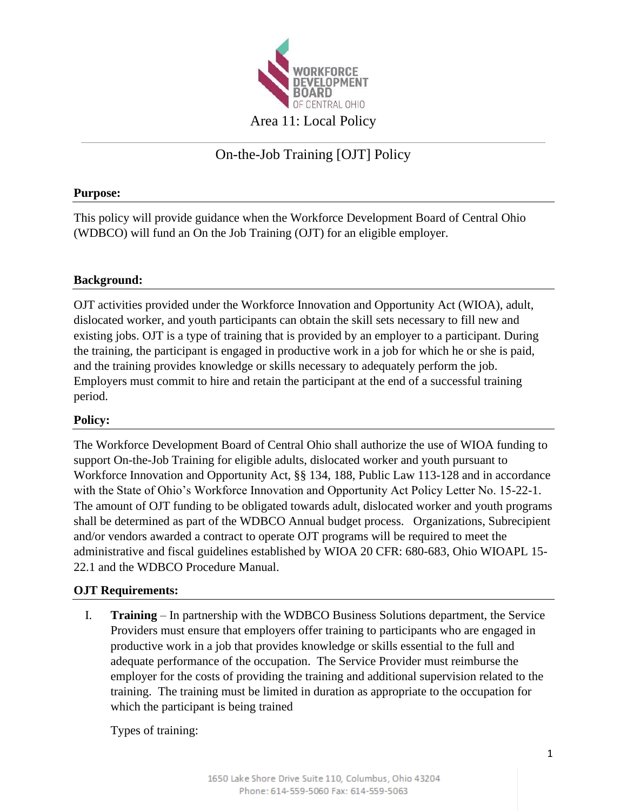

# On-the-Job Training [OJT] Policy

## **Purpose:**

This policy will provide guidance when the Workforce Development Board of Central Ohio (WDBCO) will fund an On the Job Training (OJT) for an eligible employer.

### **Background:**

OJT activities provided under the Workforce Innovation and Opportunity Act (WIOA), adult, dislocated worker, and youth participants can obtain the skill sets necessary to fill new and existing jobs. OJT is a type of training that is provided by an employer to a participant. During the training, the participant is engaged in productive work in a job for which he or she is paid, and the training provides knowledge or skills necessary to adequately perform the job. Employers must commit to hire and retain the participant at the end of a successful training period.

### **Policy:**

The Workforce Development Board of Central Ohio shall authorize the use of WIOA funding to support On-the-Job Training for eligible adults, dislocated worker and youth pursuant to Workforce Innovation and Opportunity Act, §§ 134, 188, Public Law 113-128 and in accordance with the State of Ohio's Workforce Innovation and Opportunity Act Policy Letter No. 15-22-1. The amount of OJT funding to be obligated towards adult, dislocated worker and youth programs shall be determined as part of the WDBCO Annual budget process. Organizations, Subrecipient and/or vendors awarded a contract to operate OJT programs will be required to meet the administrative and fiscal guidelines established by WIOA 20 CFR: 680-683, Ohio WIOAPL 15- 22.1 and the WDBCO Procedure Manual.

### **OJT Requirements:**

I. **Training** – In partnership with the WDBCO Business Solutions department, the Service Providers must ensure that employers offer training to participants who are engaged in productive work in a job that provides knowledge or skills essential to the full and adequate performance of the occupation. The Service Provider must reimburse the employer for the costs of providing the training and additional supervision related to the training. The training must be limited in duration as appropriate to the occupation for which the participant is being trained

Types of training: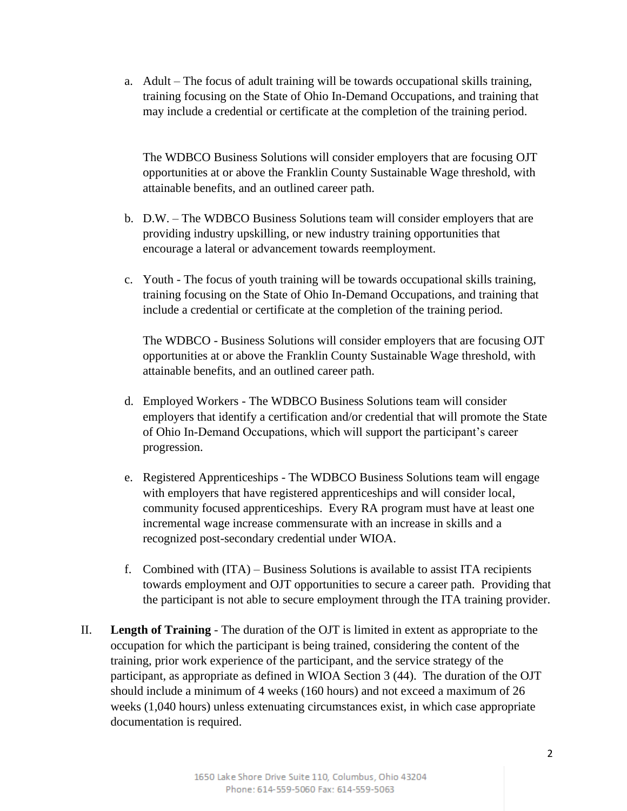a. Adult – The focus of adult training will be towards occupational skills training, training focusing on the State of Ohio In-Demand Occupations, and training that may include a credential or certificate at the completion of the training period.

The WDBCO Business Solutions will consider employers that are focusing OJT opportunities at or above the Franklin County Sustainable Wage threshold, with attainable benefits, and an outlined career path.

- b. D.W. The WDBCO Business Solutions team will consider employers that are providing industry upskilling, or new industry training opportunities that encourage a lateral or advancement towards reemployment.
- c. Youth The focus of youth training will be towards occupational skills training, training focusing on the State of Ohio In-Demand Occupations, and training that include a credential or certificate at the completion of the training period.

The WDBCO - Business Solutions will consider employers that are focusing OJT opportunities at or above the Franklin County Sustainable Wage threshold, with attainable benefits, and an outlined career path.

- d. Employed Workers The WDBCO Business Solutions team will consider employers that identify a certification and/or credential that will promote the State of Ohio In-Demand Occupations, which will support the participant's career progression.
- e. Registered Apprenticeships The WDBCO Business Solutions team will engage with employers that have registered apprenticeships and will consider local, community focused apprenticeships. Every RA program must have at least one incremental wage increase commensurate with an increase in skills and a recognized post-secondary credential under WIOA.
- f. Combined with (ITA) Business Solutions is available to assist ITA recipients towards employment and OJT opportunities to secure a career path. Providing that the participant is not able to secure employment through the ITA training provider.
- II. **Length of Training** The duration of the OJT is limited in extent as appropriate to the occupation for which the participant is being trained, considering the content of the training, prior work experience of the participant, and the service strategy of the participant, as appropriate as defined in WIOA Section 3 (44). The duration of the OJT should include a minimum of 4 weeks (160 hours) and not exceed a maximum of 26 weeks (1,040 hours) unless extenuating circumstances exist, in which case appropriate documentation is required.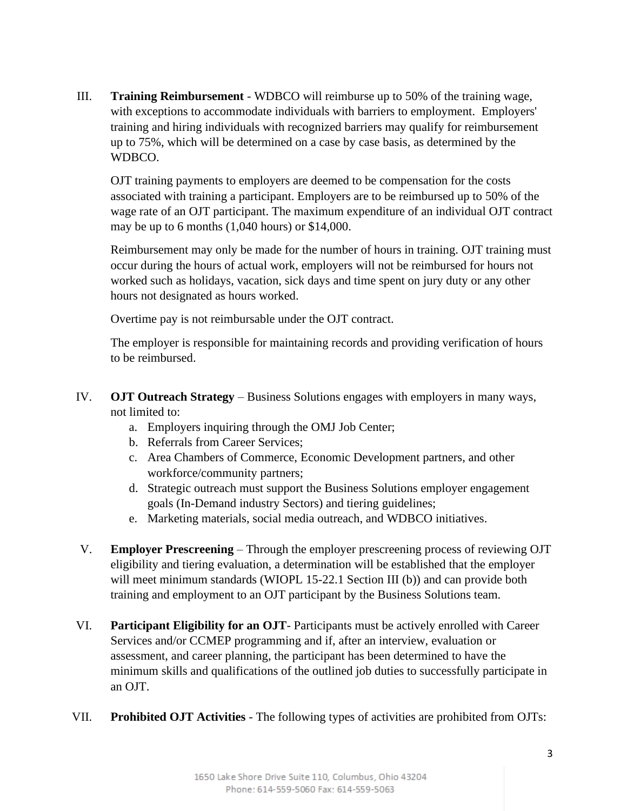III. **Training Reimbursement** - WDBCO will reimburse up to 50% of the training wage, with exceptions to accommodate individuals with barriers to employment. Employers' training and hiring individuals with recognized barriers may qualify for reimbursement up to 75%, which will be determined on a case by case basis, as determined by the WDBCO.

OJT training payments to employers are deemed to be compensation for the costs associated with training a participant. Employers are to be reimbursed up to 50% of the wage rate of an OJT participant. The maximum expenditure of an individual OJT contract may be up to 6 months (1,040 hours) or \$14,000.

Reimbursement may only be made for the number of hours in training. OJT training must occur during the hours of actual work, employers will not be reimbursed for hours not worked such as holidays, vacation, sick days and time spent on jury duty or any other hours not designated as hours worked.

Overtime pay is not reimbursable under the OJT contract.

The employer is responsible for maintaining records and providing verification of hours to be reimbursed.

- IV. **OJT Outreach Strategy** Business Solutions engages with employers in many ways, not limited to:
	- a. Employers inquiring through the OMJ Job Center;
	- b. Referrals from Career Services;
	- c. Area Chambers of Commerce, Economic Development partners, and other workforce/community partners;
	- d. Strategic outreach must support the Business Solutions employer engagement goals (In-Demand industry Sectors) and tiering guidelines;
	- e. Marketing materials, social media outreach, and WDBCO initiatives.
- V. **Employer Prescreening** Through the employer prescreening process of reviewing OJT eligibility and tiering evaluation, a determination will be established that the employer will meet minimum standards (WIOPL 15-22.1 Section III (b)) and can provide both training and employment to an OJT participant by the Business Solutions team.
- VI. **Participant Eligibility for an OJT** Participants must be actively enrolled with Career Services and/or CCMEP programming and if, after an interview, evaluation or assessment, and career planning, the participant has been determined to have the minimum skills and qualifications of the outlined job duties to successfully participate in an OJT.
- VII. **Prohibited OJT Activities** The following types of activities are prohibited from OJTs: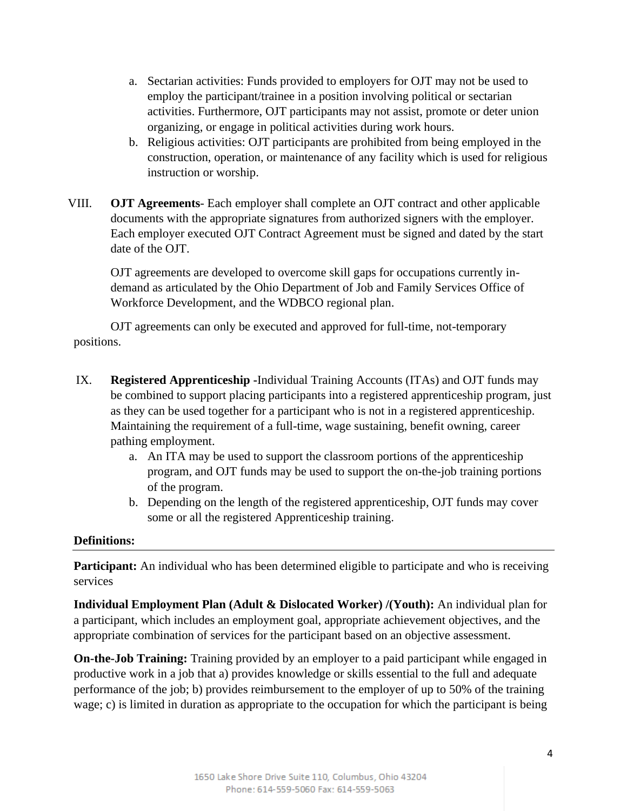- a. Sectarian activities: Funds provided to employers for OJT may not be used to employ the participant/trainee in a position involving political or sectarian activities. Furthermore, OJT participants may not assist, promote or deter union organizing, or engage in political activities during work hours.
- b. Religious activities: OJT participants are prohibited from being employed in the construction, operation, or maintenance of any facility which is used for religious instruction or worship.
- VIII. **OJT Agreements** Each employer shall complete an OJT contract and other applicable documents with the appropriate signatures from authorized signers with the employer. Each employer executed OJT Contract Agreement must be signed and dated by the start date of the OJT.

OJT agreements are developed to overcome skill gaps for occupations currently indemand as articulated by the Ohio Department of Job and Family Services Office of Workforce Development, and the WDBCO regional plan.

OJT agreements can only be executed and approved for full-time, not-temporary positions.

- IX. **Registered Apprenticeship -**Individual Training Accounts (ITAs) and OJT funds may be combined to support placing participants into a registered apprenticeship program, just as they can be used together for a participant who is not in a registered apprenticeship. Maintaining the requirement of a full-time, wage sustaining, benefit owning, career pathing employment.
	- a. An ITA may be used to support the classroom portions of the apprenticeship program, and OJT funds may be used to support the on-the-job training portions of the program.
	- b. Depending on the length of the registered apprenticeship, OJT funds may cover some or all the registered Apprenticeship training.

### **Definitions:**

**Participant:** An individual who has been determined eligible to participate and who is receiving services

**Individual Employment Plan (Adult & Dislocated Worker) /(Youth):** An individual plan for a participant, which includes an employment goal, appropriate achievement objectives, and the appropriate combination of services for the participant based on an objective assessment.

**On-the-Job Training:** Training provided by an employer to a paid participant while engaged in productive work in a job that a) provides knowledge or skills essential to the full and adequate performance of the job; b) provides reimbursement to the employer of up to 50% of the training wage; c) is limited in duration as appropriate to the occupation for which the participant is being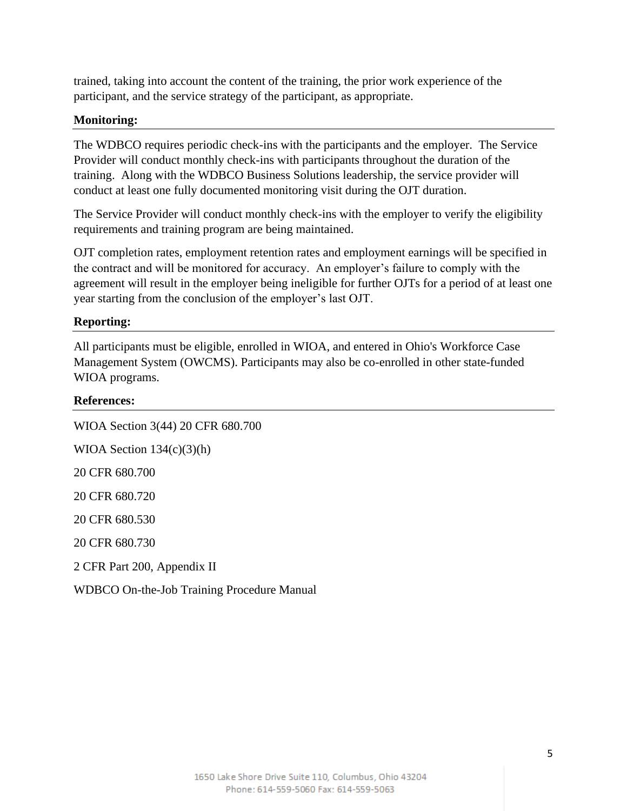trained, taking into account the content of the training, the prior work experience of the participant, and the service strategy of the participant, as appropriate.

#### **Monitoring:**

The WDBCO requires periodic check-ins with the participants and the employer. The Service Provider will conduct monthly check-ins with participants throughout the duration of the training. Along with the WDBCO Business Solutions leadership, the service provider will conduct at least one fully documented monitoring visit during the OJT duration.

The Service Provider will conduct monthly check-ins with the employer to verify the eligibility requirements and training program are being maintained.

OJT completion rates, employment retention rates and employment earnings will be specified in the contract and will be monitored for accuracy. An employer's failure to comply with the agreement will result in the employer being ineligible for further OJTs for a period of at least one year starting from the conclusion of the employer's last OJT.

#### **Reporting:**

All participants must be eligible, enrolled in WIOA, and entered in Ohio's Workforce Case Management System (OWCMS). Participants may also be co-enrolled in other state-funded WIOA programs.

#### **References:**

| WIOA Section 3(44) 20 CFR 680.700          |
|--------------------------------------------|
| WIOA Section $134(c)(3)(h)$                |
| 20 CFR 680.700                             |
| 20 CFR 680.720                             |
| 20 CFR 680.530                             |
| 20 CFR 680.730                             |
| 2 CFR Part 200, Appendix II                |
| WDBCO On-the-Job Training Procedure Manual |